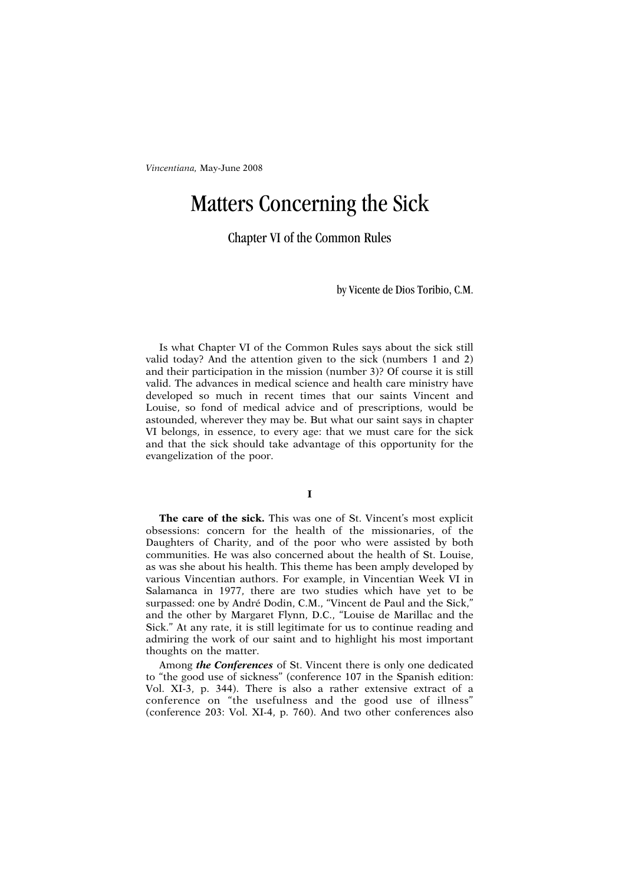## Matters Concerning the Sick

Chapter VI of the Common Rules

by Vicente de Dios Toribio, C.M.

Is what Chapter VI of the Common Rules says about the sick still valid today? And the attention given to the sick (numbers 1 and 2) and their participation in the mission (number 3)? Of course it is still valid. The advances in medical science and health care ministry have developed so much in recent times that our saints Vincent and Louise, so fond of medical advice and of prescriptions, would be astounded, wherever they may be. But what our saint says in chapter VI belongs, in essence, to every age: that we must care for the sick and that the sick should take advantage of this opportunity for the evangelization of the poor.

## **I**

**The care of the sick.** This was one of St. Vincent's most explicit obsessions: concern for the health of the missionaries, of the Daughters of Charity, and of the poor who were assisted by both communities. He was also concerned about the health of St. Louise, as was she about his health. This theme has been amply developed by various Vincentian authors. For example, in Vincentian Week VI in Salamanca in 1977, there are two studies which have yet to be surpassed: one by André Dodin, C.M., "Vincent de Paul and the Sick," and the other by Margaret Flynn, D.C., "Louise de Marillac and the Sick." At any rate, it is still legitimate for us to continue reading and admiring the work of our saint and to highlight his most important thoughts on the matter.

Among *the Conferences* of St. Vincent there is only one dedicated to "the good use of sickness" (conference 107 in the Spanish edition: Vol. XI-3, p. 344). There is also a rather extensive extract of a conference on "the usefulness and the good use of illness" (conference 203: Vol. XI-4, p. 760). And two other conferences also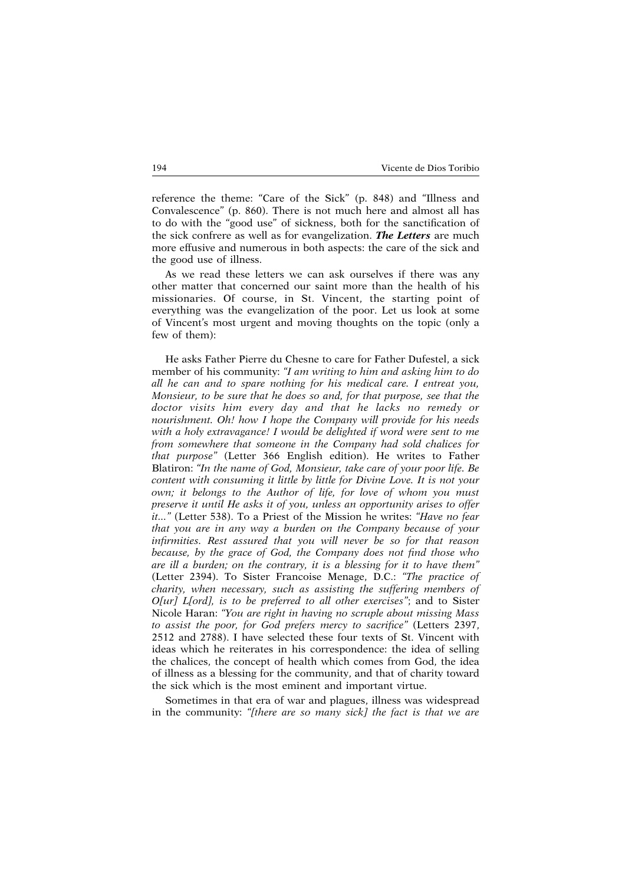reference the theme: "Care of the Sick" (p. 848) and "Illness and Convalescence" (p. 860). There is not much here and almost all has to do with the "good use" of sickness, both for the sanctification of the sick confrere as well as for evangelization. *The Letters* are much more effusive and numerous in both aspects: the care of the sick and the good use of illness.

As we read these letters we can ask ourselves if there was any other matter that concerned our saint more than the health of his missionaries. Of course, in St. Vincent, the starting point of everything was the evangelization of the poor. Let us look at some of Vincent's most urgent and moving thoughts on the topic (only a few of them):

He asks Father Pierre du Chesne to care for Father Dufestel, a sick member of his community: *"I am writing to him and asking him to do all he can and to spare nothing for his medical care. I entreat you, Monsieur, to be sure that he does so and, for that purpose, see that the doctor visits him every day and that he lacks no remedy or nourishment. Oh! how I hope the Company will provide for his needs with a holy extravagance! I would be delighted if word were sent to me from somewhere that someone in the Company had sold chalices for that purpose"* (Letter 366 English edition). He writes to Father Blatiron: *"In the name of God, Monsieur, take care of your poor life. Be content with consuming it little by little for Divine Love. It is not your own; it belongs to the Author of life, for love of whom you must preserve it until He asks it of you, unless an opportunity arises to offer it..."* (Letter 538). To a Priest of the Mission he writes: *"Have no fear that you are in any way a burden on the Company because of your infirmities. Rest assured that you will never be so for that reason because, by the grace of God, the Company does not find those who are ill a burden; on the contrary, it is a blessing for it to have them"* (Letter 2394). To Sister Francoise Menage, D.C.: *"The practice of charity, when necessary, such as assisting the suffering members of O[ur] L[ord], is to be preferred to all other exercises"*; and to Sister Nicole Haran: *"You are right in having no scruple about missing Mass to assist the poor, for God prefers mercy to sacrifice"* (Letters 2397, 2512 and 2788). I have selected these four texts of St. Vincent with ideas which he reiterates in his correspondence: the idea of selling the chalices, the concept of health which comes from God, the idea of illness as a blessing for the community, and that of charity toward the sick which is the most eminent and important virtue.

Sometimes in that era of war and plagues, illness was widespread in the community: *"[there are so many sick] the fact is that we are*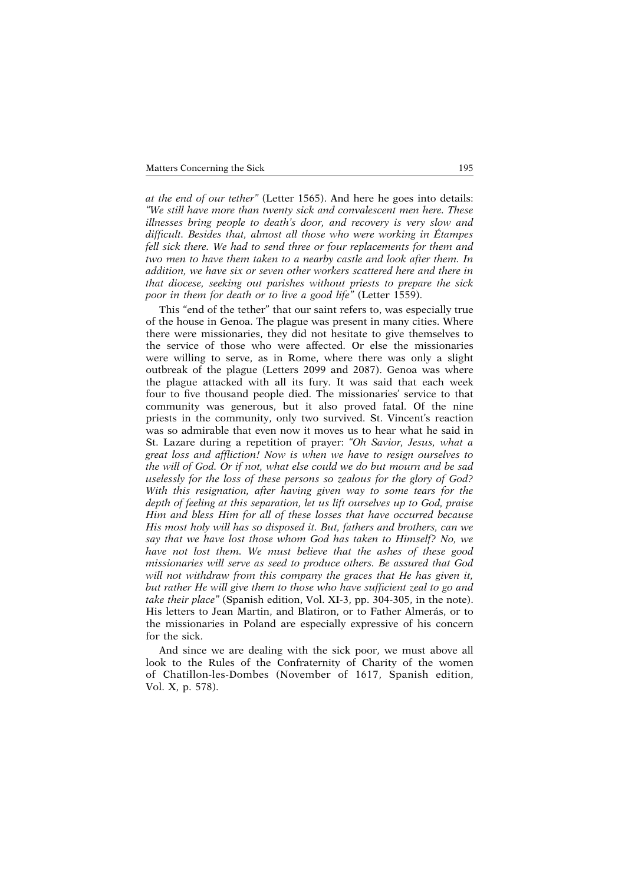*at the end of our tether"* (Letter 1565). And here he goes into details: *"We still have more than twenty sick and convalescent men here. These illnesses bring people to death's door, and recovery is very slow and difficult. Besides that, almost all those who were working in Étampes fell sick there. We had to send three or four replacements for them and two men to have them taken to a nearby castle and look after them. In addition, we have six or seven other workers scattered here and there in that diocese, seeking out parishes without priests to prepare the sick poor in them for death or to live a good life"* (Letter 1559).

This "end of the tether" that our saint refers to, was especially true of the house in Genoa. The plague was present in many cities. Where there were missionaries, they did not hesitate to give themselves to the service of those who were affected. Or else the missionaries were willing to serve, as in Rome, where there was only a slight outbreak of the plague (Letters 2099 and 2087). Genoa was where the plague attacked with all its fury. It was said that each week four to five thousand people died. The missionaries' service to that community was generous, but it also proved fatal. Of the nine priests in the community, only two survived. St. Vincent's reaction was so admirable that even now it moves us to hear what he said in St. Lazare during a repetition of prayer: *"Oh Savior, Jesus, what a great loss and affliction! Now is when we have to resign ourselves to the will of God. Or if not, what else could we do but mourn and be sad uselessly for the loss of these persons so zealous for the glory of God? With this resignation, after having given way to some tears for the depth of feeling at this separation, let us lift ourselves up to God, praise Him and bless Him for all of these losses that have occurred because His most holy will has so disposed it. But, fathers and brothers, can we say that we have lost those whom God has taken to Himself? No, we have not lost them. We must believe that the ashes of these good missionaries will serve as seed to produce others. Be assured that God will not withdraw from this company the graces that He has given it, but rather He will give them to those who have sufficient zeal to go and take their place"* (Spanish edition, Vol. XI-3, pp. 304-305, in the note). His letters to Jean Martin, and Blatiron, or to Father Almerás, or to the missionaries in Poland are especially expressive of his concern for the sick.

And since we are dealing with the sick poor, we must above all look to the Rules of the Confraternity of Charity of the women of Chatillon-les-Dombes (November of 1617, Spanish edition, Vol. X, p. 578).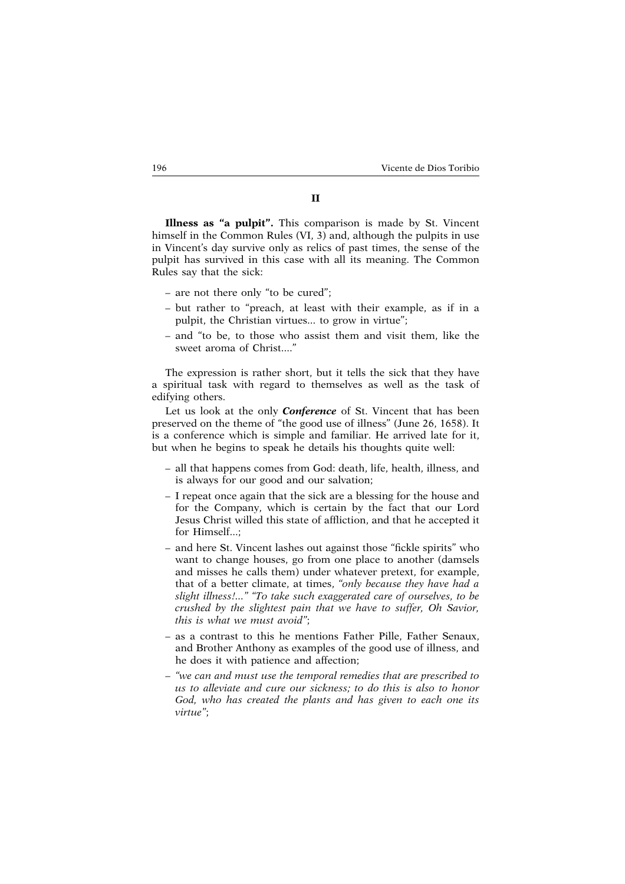## **II**

**Illness as "a pulpit".** This comparison is made by St. Vincent himself in the Common Rules (VI, 3) and, although the pulpits in use in Vincent's day survive only as relics of past times, the sense of the pulpit has survived in this case with all its meaning. The Common Rules say that the sick:

- are not there only "to be cured";
- but rather to "preach, at least with their example, as if in a pulpit, the Christian virtues... to grow in virtue";
- and "to be, to those who assist them and visit them, like the sweet aroma of Christ...."

The expression is rather short, but it tells the sick that they have a spiritual task with regard to themselves as well as the task of edifying others.

Let us look at the only *Conference* of St. Vincent that has been preserved on the theme of "the good use of illness" (June 26, 1658). It is a conference which is simple and familiar. He arrived late for it, but when he begins to speak he details his thoughts quite well:

- all that happens comes from God: death, life, health, illness, and is always for our good and our salvation;
- I repeat once again that the sick are a blessing for the house and for the Company, which is certain by the fact that our Lord Jesus Christ willed this state of affliction, and that he accepted it for Himself...;
- and here St. Vincent lashes out against those "fickle spirits" who want to change houses, go from one place to another (damsels and misses he calls them) under whatever pretext, for example, that of a better climate, at times, *"only because they have had a slight illness!..." "To take such exaggerated care of ourselves, to be crushed by the slightest pain that we have to suffer, Oh Savior, this is what we must avoid"*;
- as a contrast to this he mentions Father Pille, Father Senaux, and Brother Anthony as examples of the good use of illness, and he does it with patience and affection;
- *"we can and must use the temporal remedies that are prescribed to us to alleviate and cure our sickness; to do this is also to honor God, who has created the plants and has given to each one its virtue"*;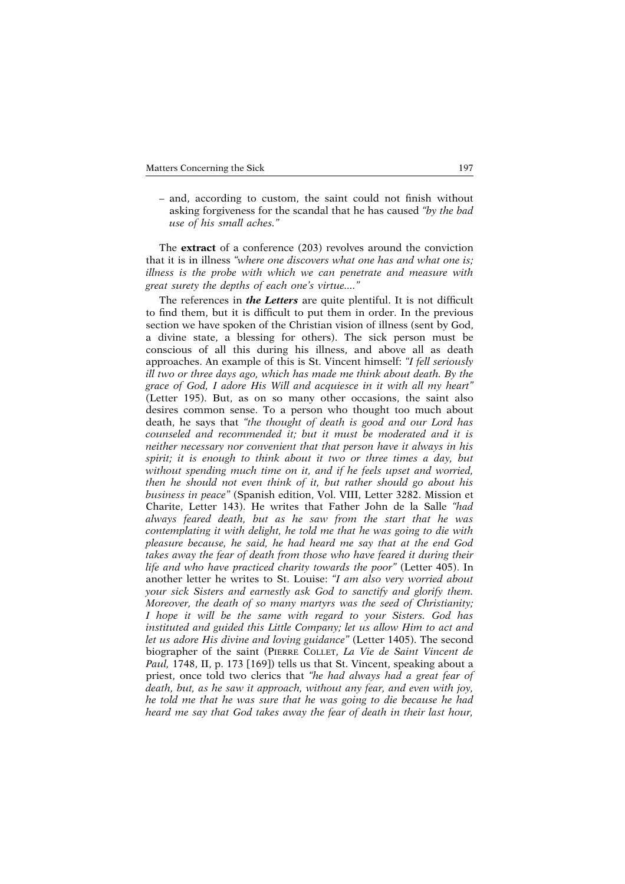– and, according to custom, the saint could not finish without asking forgiveness for the scandal that he has caused *"by the bad use of his small aches."*

The **extract** of a conference (203) revolves around the conviction that it is in illness *"where one discovers what one has and what one is; illness is the probe with which we can penetrate and measure with great surety the depths of each one's virtue...."*

The references in *the Letters* are quite plentiful. It is not difficult to find them, but it is difficult to put them in order. In the previous section we have spoken of the Christian vision of illness (sent by God, a divine state, a blessing for others). The sick person must be conscious of all this during his illness, and above all as death approaches. An example of this is St. Vincent himself: *"I fell seriously ill two or three days ago, which has made me think about death. By the grace of God, I adore His Will and acquiesce in it with all my heart"* (Letter 195). But, as on so many other occasions, the saint also desires common sense. To a person who thought too much about death, he says that *"the thought of death is good and our Lord has counseled and recommended it; but it must be moderated and it is neither necessary nor convenient that that person have it always in his spirit; it is enough to think about it two or three times a day, but without spending much time on it, and if he feels upset and worried, then he should not even think of it, but rather should go about his business in peace"* (Spanish edition, Vol. VIII, Letter 3282. Mission et Charite, Letter 143). He writes that Father John de la Salle *"had always feared death, but as he saw from the start that he was contemplating it with delight, he told me that he was going to die with pleasure because, he said, he had heard me say that at the end God takes away the fear of death from those who have feared it during their life and who have practiced charity towards the poor"* (Letter 405). In another letter he writes to St. Louise: *"I am also very worried about your sick Sisters and earnestly ask God to sanctify and glorify them. Moreover, the death of so many martyrs was the seed of Christianity; I hope it will be the same with regard to your Sisters. God has instituted and guided this Little Company; let us allow Him to act and let us adore His divine and loving guidance"* (Letter 1405). The second biographer of the saint (PIERRE COLLET, *La Vie de Saint Vincent de Paul*, 1748, II, p. 173 [169]) tells us that St. Vincent, speaking about a priest, once told two clerics that *"he had always had a great fear of death, but, as he saw it approach, without any fear, and even with joy, he told me that he was sure that he was going to die because he had heard me say that God takes away the fear of death in their last hour,*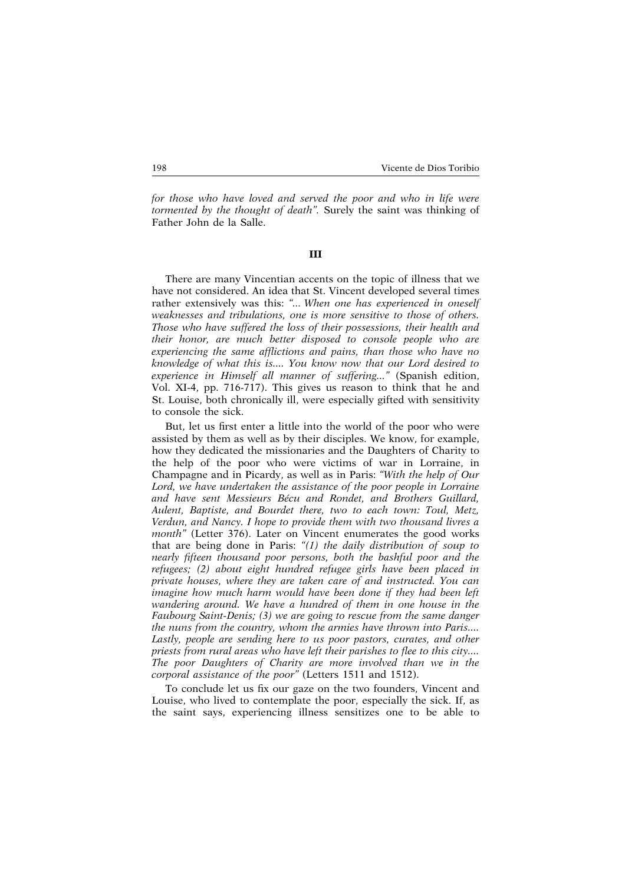*for those who have loved and served the poor and who in life were tormented by the thought of death".* Surely the saint was thinking of Father John de la Salle.

## **III**

There are many Vincentian accents on the topic of illness that we have not considered. An idea that St. Vincent developed several times rather extensively was this: *"... When one has experienced in oneself weaknesses and tribulations, one is more sensitive to those of others. Those who have suffered the loss of their possessions, their health and their honor, are much better disposed to console people who are experiencing the same afflictions and pains, than those who have no knowledge of what this is.... You know now that our Lord desired to experience in Himself all manner of suffering..."* (Spanish edition, Vol. XI-4, pp. 716-717). This gives us reason to think that he and St. Louise, both chronically ill, were especially gifted with sensitivity to console the sick.

But, let us first enter a little into the world of the poor who were assisted by them as well as by their disciples. We know, for example, how they dedicated the missionaries and the Daughters of Charity to the help of the poor who were victims of war in Lorraine, in Champagne and in Picardy, as well as in Paris: *"With the help of Our Lord, we have undertaken the assistance of the poor people in Lorraine and have sent Messieurs Bécu and Rondet, and Brothers Guillard, Aulent, Baptiste, and Bourdet there, two to each town: Toul, Metz, Verdun, and Nancy. I hope to provide them with two thousand livres a month"* (Letter 376). Later on Vincent enumerates the good works that are being done in Paris: *"(1) the daily distribution of soup to nearly fifteen thousand poor persons, both the bashful poor and the refugees; (2) about eight hundred refugee girls have been placed in private houses, where they are taken care of and instructed. You can imagine how much harm would have been done if they had been left wandering around. We have a hundred of them in one house in the Faubourg Saint-Denis; (3) we are going to rescue from the same danger the nuns from the country, whom the armies have thrown into Paris.... Lastly, people are sending here to us poor pastors, curates, and other priests from rural areas who have left their parishes to flee to this city.... The poor Daughters of Charity are more involved than we in the corporal assistance of the poor"* (Letters 1511 and 1512).

To conclude let us fix our gaze on the two founders, Vincent and Louise, who lived to contemplate the poor, especially the sick. If, as the saint says, experiencing illness sensitizes one to be able to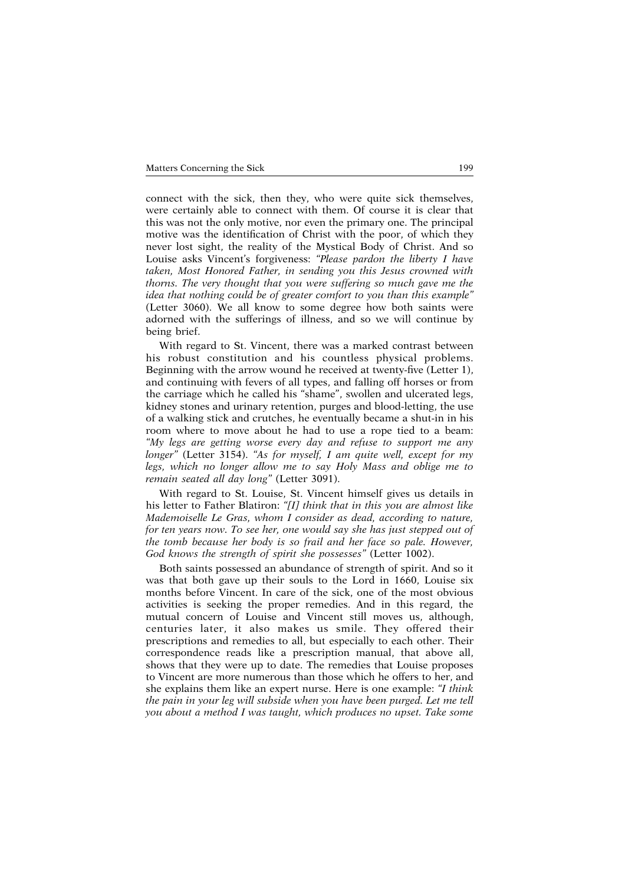connect with the sick, then they, who were quite sick themselves, were certainly able to connect with them. Of course it is clear that this was not the only motive, nor even the primary one. The principal motive was the identification of Christ with the poor, of which they never lost sight, the reality of the Mystical Body of Christ. And so Louise asks Vincent's forgiveness: *"Please pardon the liberty I have taken, Most Honored Father, in sending you this Jesus crowned with thorns. The very thought that you were suffering so much gave me the idea that nothing could be of greater comfort to you than this example"* (Letter 3060). We all know to some degree how both saints were adorned with the sufferings of illness, and so we will continue by being brief.

With regard to St. Vincent, there was a marked contrast between his robust constitution and his countless physical problems. Beginning with the arrow wound he received at twenty-five (Letter 1), and continuing with fevers of all types, and falling off horses or from the carriage which he called his "shame", swollen and ulcerated legs, kidney stones and urinary retention, purges and blood-letting, the use of a walking stick and crutches, he eventually became a shut-in in his room where to move about he had to use a rope tied to a beam: *"My legs are getting worse every day and refuse to support me any longer"* (Letter 3154). *"As for myself, I am quite well, except for my legs, which no longer allow me to say Holy Mass and oblige me to remain seated all day long"* (Letter 3091).

With regard to St. Louise, St. Vincent himself gives us details in his letter to Father Blatiron: *"[I] think that in this you are almost like Mademoiselle Le Gras, whom I consider as dead, according to nature, for ten years now. To see her, one would say she has just stepped out of the tomb because her body is so frail and her face so pale. However, God knows the strength of spirit she possesses"* (Letter 1002).

Both saints possessed an abundance of strength of spirit. And so it was that both gave up their souls to the Lord in 1660, Louise six months before Vincent. In care of the sick, one of the most obvious activities is seeking the proper remedies. And in this regard, the mutual concern of Louise and Vincent still moves us, although, centuries later, it also makes us smile. They offered their prescriptions and remedies to all, but especially to each other. Their correspondence reads like a prescription manual, that above all, shows that they were up to date. The remedies that Louise proposes to Vincent are more numerous than those which he offers to her, and she explains them like an expert nurse. Here is one example: *"I think the pain in your leg will subside when you have been purged. Let me tell you about a method I was taught, which produces no upset. Take some*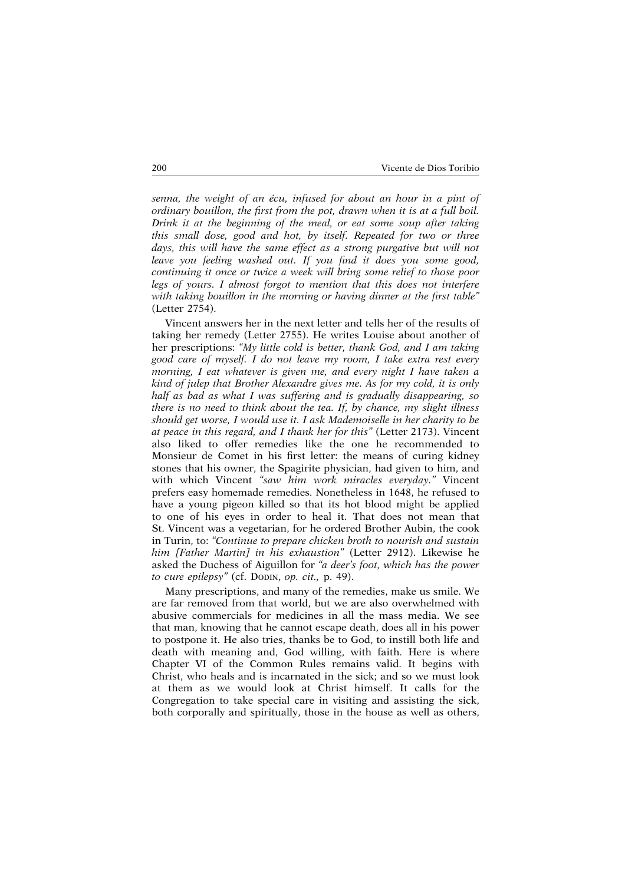*senna, the weight of an écu, infused for about an hour in a pint of ordinary bouillon, the first from the pot, drawn when it is at a full boil. Drink it at the beginning of the meal, or eat some soup after taking this small dose, good and hot, by itself. Repeated for two or three days, this will have the same effect as a strong purgative but will not leave you feeling washed out. If you find it does you some good, continuing it once or twice a week will bring some relief to those poor legs of yours. I almost forgot to mention that this does not interfere with taking bouillon in the morning or having dinner at the first table"* (Letter 2754).

Vincent answers her in the next letter and tells her of the results of taking her remedy (Letter 2755). He writes Louise about another of her prescriptions: *"My little cold is better, thank God, and I am taking good care of myself. I do not leave my room, I take extra rest every morning, I eat whatever is given me, and every night I have taken a kind of julep that Brother Alexandre gives me. As for my cold, it is only half as bad as what I was suffering and is gradually disappearing, so there is no need to think about the tea. If, by chance, my slight illness should get worse, I would use it. I ask Mademoiselle in her charity to be at peace in this regard, and I thank her for this"* (Letter 2173). Vincent also liked to offer remedies like the one he recommended to Monsieur de Comet in his first letter: the means of curing kidney stones that his owner, the Spagirite physician, had given to him, and with which Vincent *"saw him work miracles everyday."* Vincent prefers easy homemade remedies. Nonetheless in 1648, he refused to have a young pigeon killed so that its hot blood might be applied to one of his eyes in order to heal it. That does not mean that St. Vincent was a vegetarian, for he ordered Brother Aubin, the cook in Turin, to: *"Continue to prepare chicken broth to nourish and sustain him [Father Martin] in his exhaustion"* (Letter 2912). Likewise he asked the Duchess of Aiguillon for *"a deer's foot, which has the power to cure epilepsy"* (cf. DODIN, *op. cit.,* p. 49).

Many prescriptions, and many of the remedies, make us smile. We are far removed from that world, but we are also overwhelmed with abusive commercials for medicines in all the mass media. We see that man, knowing that he cannot escape death, does all in his power to postpone it. He also tries, thanks be to God, to instill both life and death with meaning and, God willing, with faith. Here is where Chapter VI of the Common Rules remains valid. It begins with Christ, who heals and is incarnated in the sick; and so we must look at them as we would look at Christ himself. It calls for the Congregation to take special care in visiting and assisting the sick, both corporally and spiritually, those in the house as well as others,